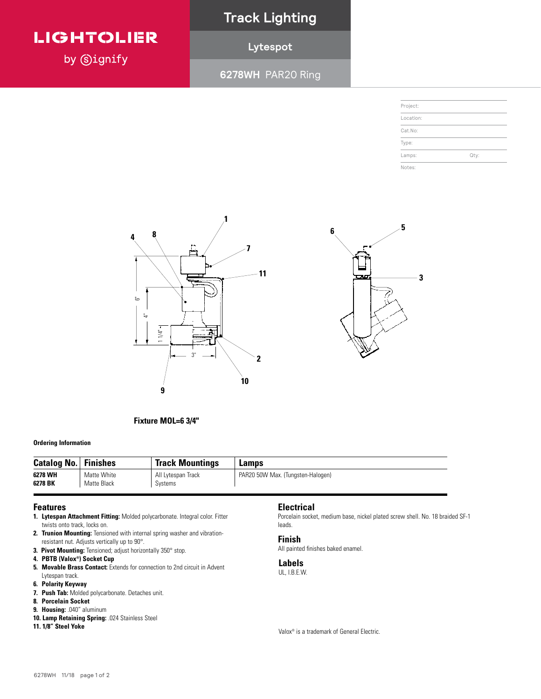### **LIGHTOLIER**

by **Signify** 

### **Track Lighting**

### **Lytespot**

**6278WH** PAR20 Ring

|      | Project:  |
|------|-----------|
|      | Location: |
|      | Cat.No:   |
|      | Type:     |
| Qty: | Lamps:    |
|      | Notes:    |

**1**

Page 1 of 2 Lytespot





**Ordering Information**

| <b>Catalog No.</b> | <b>Finishes</b> | <b>Track Mountings</b> | Lamps                             |
|--------------------|-----------------|------------------------|-----------------------------------|
| 6278 WH            | Matte White     | All Lytespan Track     | PAR20 50W Max. (Tungsten-Halogen) |
| 6278 BK            | Matte Black     | Systems                |                                   |

#### **Features**

- **1. Lytespan Attachment Fitting:** Molded polycarbonate. Integral color. Fitter Porcel Porcels<br>Leede twists onto track, locks on.
- **2. Trunion Mounting:** Tensioned with internal spring washer and vibration-<br>**2. Trunion Mounting:** Tensioned with internal spring washer and vibration-**FACK** FIRE 2012 **BIDES** IN Adjusts vertically up to 90°.
- **3. Pivot Mounting:** Tensioned; adjust horizontally 350° stop.
- **4. PBTB (Valox®) Socket Cup**
- **5. Movable Brass Contact:** Extends for connection to 2nd circuit in Advent **Features** Lytespan track. **1. Lytespan Attachment Fitting:** Molded polycarbonate. Integral color. Fitter
- **6.** Polarity Keyway
- **7. Push Tab:** Molded polycarbonate. Detaches unit. resistant nut. Adjusts vertically up to 90°.
- **8. Porcelain Socket**
- **9. Housing:** .040" aluminum
- **10. Lamp Retaining Spring: .024 Stainless Steel**
- **11. 1/8" Steel Yoke 5. Movable Brass Contact:** Extends for connection to 2nd circuit in Advent

#### **Electrical**

Porcelain socket, medium base, nickel plated screw shell. No. 18 braided SF-1 leads.

#### **Finish**

All painted finishes baked enamel.

#### **Labels**

UL, I.B.E.W.

Valox® is a trademark of General Electric.